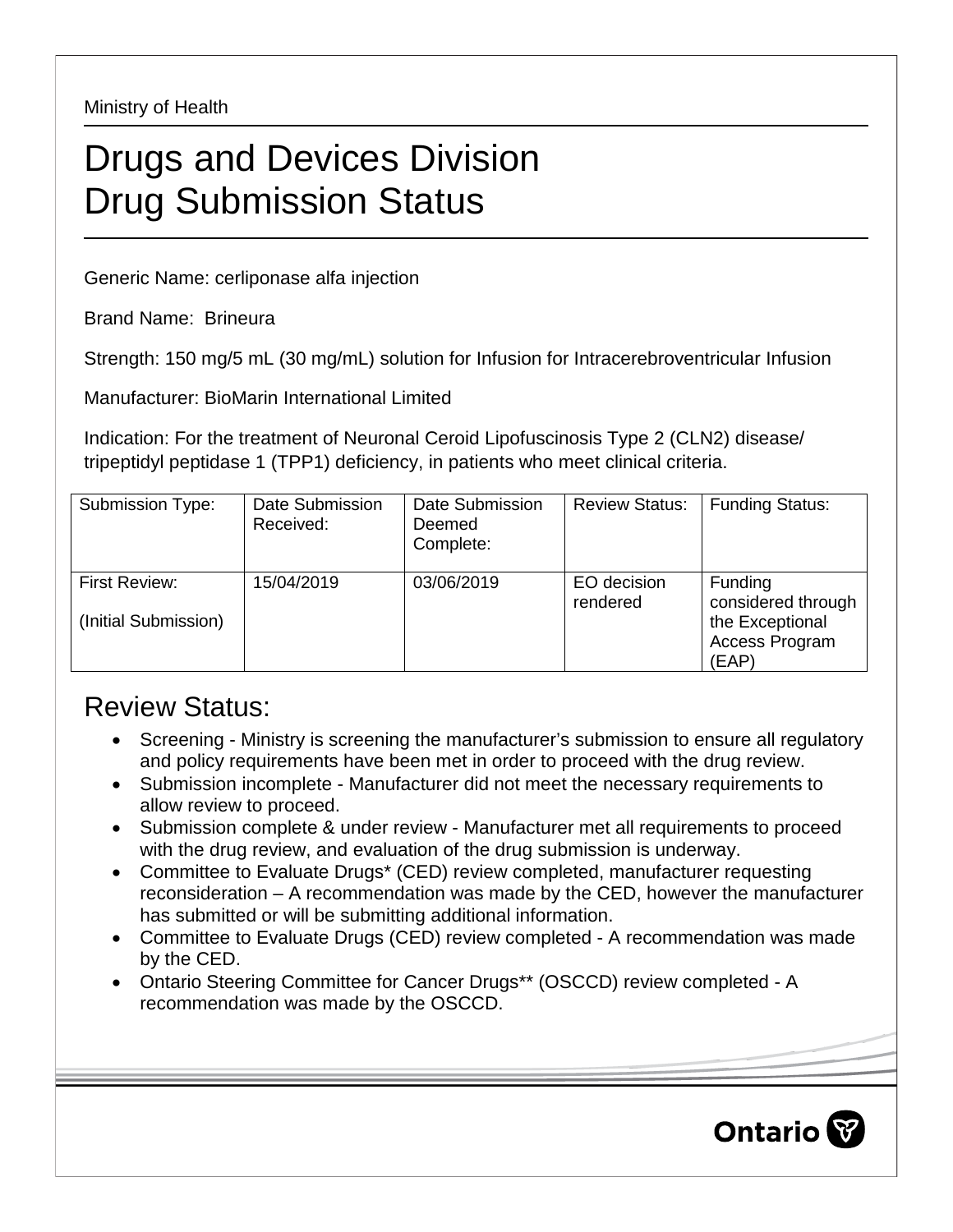Ministry of Health

## Drugs and Devices Division Drug Submission Status

Generic Name: cerliponase alfa injection

Brand Name: Brineura

Strength: 150 mg/5 mL (30 mg/mL) solution for Infusion for Intracerebroventricular Infusion

Manufacturer: BioMarin International Limited

Indication: For the treatment of Neuronal Ceroid Lipofuscinosis Type 2 (CLN2) disease/ tripeptidyl peptidase 1 (TPP1) deficiency, in patients who meet clinical criteria.

| Submission Type:                      | Date Submission<br>Received: | Date Submission<br>Deemed<br>Complete: | <b>Review Status:</b>   | <b>Funding Status:</b>                                                      |
|---------------------------------------|------------------------------|----------------------------------------|-------------------------|-----------------------------------------------------------------------------|
| First Review:<br>(Initial Submission) | 15/04/2019                   | 03/06/2019                             | EO decision<br>rendered | Funding<br>considered through<br>the Exceptional<br>Access Program<br>(EAP) |

## Review Status:

- Screening Ministry is screening the manufacturer's submission to ensure all regulatory and policy requirements have been met in order to proceed with the drug review.
- Submission incomplete Manufacturer did not meet the necessary requirements to allow review to proceed.
- Submission complete & under review Manufacturer met all requirements to proceed with the drug review, and evaluation of the drug submission is underway.
- Committee to Evaluate Drugs\* (CED) review completed, manufacturer requesting reconsideration – A recommendation was made by the CED, however the manufacturer has submitted or will be submitting additional information.
- Committee to Evaluate Drugs (CED) review completed A recommendation was made by the CED.
- Ontario Steering Committee for Cancer Drugs\*\* (OSCCD) review completed A recommendation was made by the OSCCD.